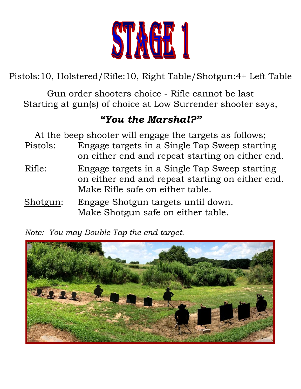

Pistols:10, Holstered/Rifle:10, Right Table/Shotgun:4+ Left Table

Gun order shooters choice - Rifle cannot be last Starting at gun(s) of choice at Low Surrender shooter says,

# *"You the Marshal?"*

At the beep shooter will engage the targets as follows; Pistols: Engage targets in a Single Tap Sweep starting on either end and repeat starting on either end.

- Rifle: Engage targets in a Single Tap Sweep starting on either end and repeat starting on either end. Make Rifle safe on either table.
- Shotgun: Engage Shotgun targets until down. Make Shotgun safe on either table.

*Note: You may Double Tap the end target.*

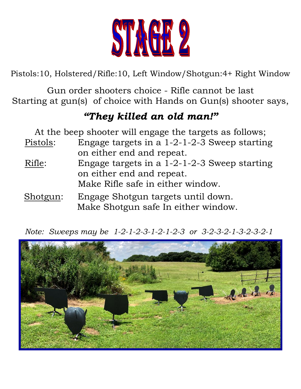

Pistols:10, Holstered/Rifle:10, Left Window/Shotgun:4+ Right Window

Gun order shooters choice - Rifle cannot be last Starting at gun(s) of choice with Hands on Gun(s) shooter says,

### *"They killed an old man!"*

At the beep shooter will engage the targets as follows;

- Pistols: Engage targets in a 1-2-1-2-3 Sweep starting on either end and repeat.
- Rifle: Engage targets in a 1-2-1-2-3 Sweep starting on either end and repeat. Make Rifle safe in either window.
- Shotgun: Engage Shotgun targets until down. Make Shotgun safe In either window.

*Note: Sweeps may be 1-2-1-2-3-1-2-1-2-3 or 3-2-3-2-1-3-2-3-2-1*

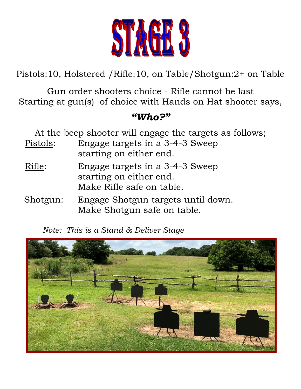

Pistols:10, Holstered /Rifle:10, on Table/Shotgun:2+ on Table

Gun order shooters choice - Rifle cannot be last Starting at gun(s) of choice with Hands on Hat shooter says,

#### *"Who?"*

At the beep shooter will engage the targets as follows;

- Pistols: Engage targets in a 3-4-3 Sweep starting on either end.
- Rifle: Engage targets in a 3-4-3 Sweep starting on either end. Make Rifle safe on table.
- Shotgun: Engage Shotgun targets until down. Make Shotgun safe on table.

*Note: This is a Stand & Deliver Stage*

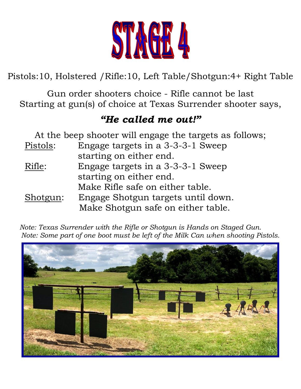

Pistols:10, Holstered /Rifle:10, Left Table/Shotgun:4+ Right Table

Gun order shooters choice - Rifle cannot be last Starting at gun(s) of choice at Texas Surrender shooter says,

### *"He called me out!"*

|          | At the beep shooter will engage the targets as follows; |
|----------|---------------------------------------------------------|
| Pistols: | Engage targets in a 3-3-3-1 Sweep                       |
|          | starting on either end.                                 |
| Rifle:   | Engage targets in a 3-3-3-1 Sweep                       |
|          | starting on either end.                                 |
|          | Make Rifle safe on either table.                        |
| Shotgun: | Engage Shotgun targets until down.                      |
|          | Make Shotgun safe on either table.                      |

 *Note: Texas Surrender with the Rifle or Shotgun is Hands on Staged Gun. Note: Some part of one boot must be left of the Milk Can when shooting Pistols.*

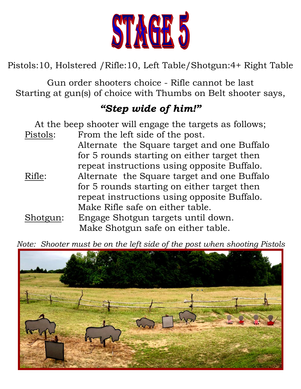

Pistols:10, Holstered /Rifle:10, Left Table/Shotgun:4+ Right Table

Gun order shooters choice - Rifle cannot be last Starting at gun(s) of choice with Thumbs on Belt shooter says,

# *"Step wide of him!"*

At the beep shooter will engage the targets as follows; Pistols: From the left side of the post. Alternate the Square target and one Buffalo for 5 rounds starting on either target then repeat instructions using opposite Buffalo. Rifle: Alternate the Square target and one Buffalo for 5 rounds starting on either target then repeat instructions using opposite Buffalo. Make Rifle safe on either table. Shotgun: Engage Shotgun targets until down.

Make Shotgun safe on either table.

 *Note: Shooter must be on the left side of the post when shooting Pistols*